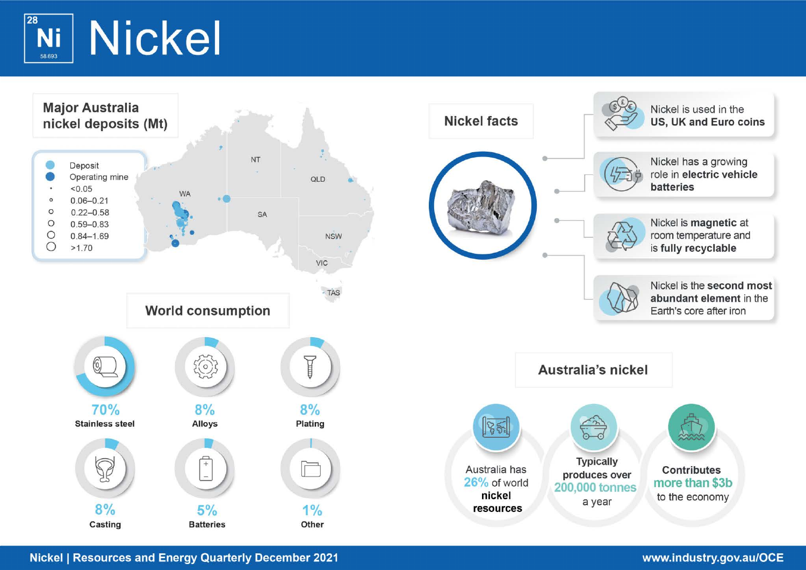

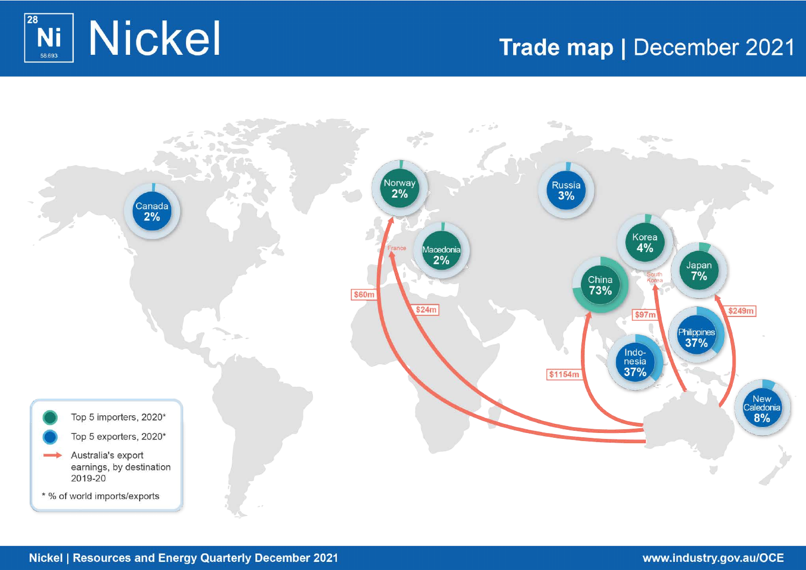

# Trade map | December 2021

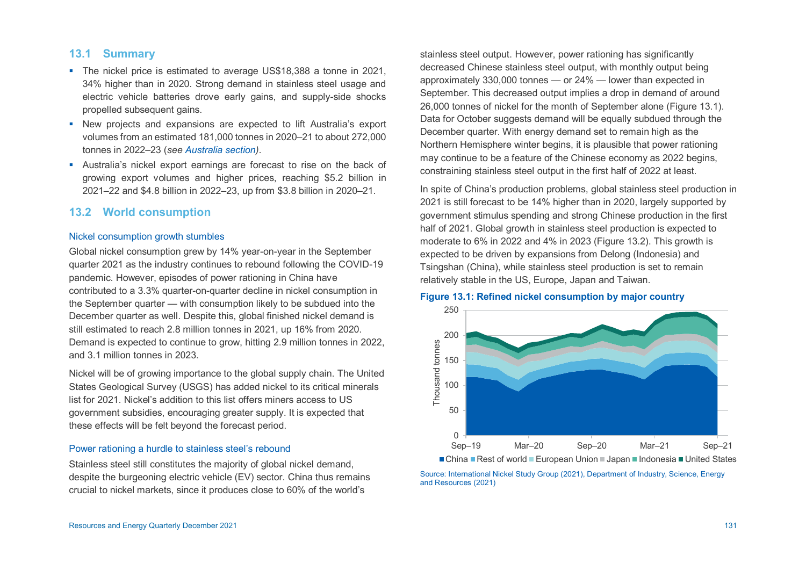# **13.1 Summary**

- The nickel price is estimated to average US\$18,388 a tonne in 2021. 34% higher than in 2020. Strong demand in stainless steel usage and electric vehicle batteries drove early gains, and supply-side shocks propelled subsequent gains.
- New projects and expansions are expected to lift Australia's export volumes from an estimated 181,000 tonnes in 2020–21 to about 272,000 tonnes in 2022–23 (*see [Australia section\)](#page-5-0)*.
- Australia's nickel export earnings are forecast to rise on the back of growing export volumes and higher prices, reaching \$5.2 billion in 2021–22 and \$4.8 billion in 2022–23, up from \$3.8 billion in 2020–21.

# **13.2 World consumption**

#### Nickel consumption growth stumbles

Global nickel consumption grew by 14% year-on-year in the September quarter 2021 as the industry continues to rebound following the COVID-19 pandemic. However, episodes of power rationing in China have contributed to a 3.3% quarter-on-quarter decline in nickel consumption in the September quarter — with consumption likely to be subdued into the December quarter as well. Despite this, global finished nickel demand is still estimated to reach 2.8 million tonnes in 2021, up 16% from 2020. Demand is expected to continue to grow, hitting 2.9 million tonnes in 2022, and 3.1 million tonnes in 2023.

Nickel will be of growing importance to the global supply chain. The United States Geological Survey (USGS) has added nickel to its critical minerals list for 2021. Nickel's addition to this list offers miners access to US government subsidies, encouraging greater supply. It is expected that these effects will be felt beyond the forecast period.

#### Power rationing a hurdle to stainless steel's rebound

Stainless steel still constitutes the majority of global nickel demand, despite the burgeoning electric vehicle (EV) sector. China thus remains crucial to nickel markets, since it produces close to 60% of the world's

stainless steel output. However, power rationing has significantly decreased Chinese stainless steel output, with monthly output being approximately 330,000 tonnes — or 24% — lower than expected in September. This decreased output implies a drop in demand of around 26,000 tonnes of nickel for the month of September alone (Figure 13.1). Data for October suggests demand will be equally subdued through the December quarter. With energy demand set to remain high as the Northern Hemisphere winter begins, it is plausible that power rationing may continue to be a feature of the Chinese economy as 2022 begins, constraining stainless steel output in the first half of 2022 at least.

In spite of China's production problems, global stainless steel production in 2021 is still forecast to be 14% higher than in 2020, largely supported by government stimulus spending and strong Chinese production in the first half of 2021. Global growth in stainless steel production is expected to moderate to 6% in 2022 and 4% in 2023 (Figure 13.2). This growth is expected to be driven by expansions from Delong (Indonesia) and Tsingshan (China), while stainless steel production is set to remain relatively stable in the US, Europe, Japan and Taiwan.

#### **Figure 13.1: Refined nickel consumption by major country**



■ China ■ Rest of world ■ European Union ■ Japan ■ Indonesia ■ United States

Source: International Nickel Study Group (2021), Department of Industry, Science, Energy and Resources (2021)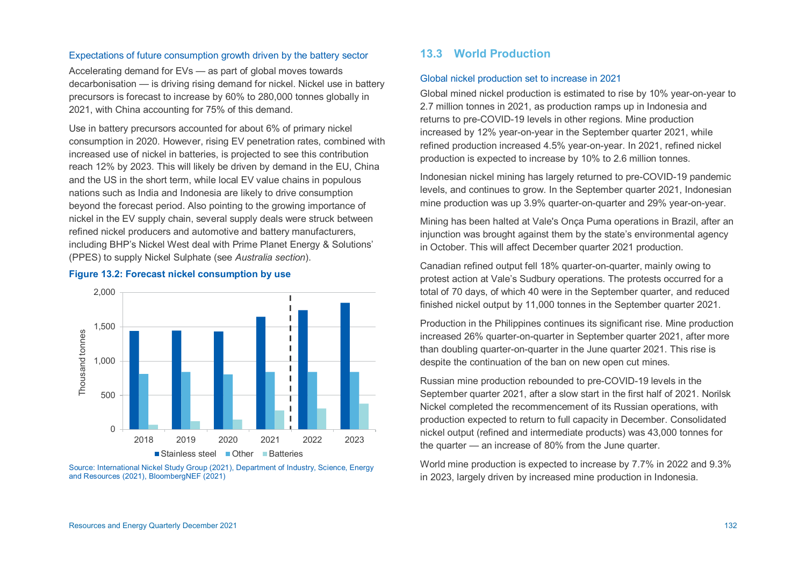## Expectations of future consumption growth driven by the battery sector

Accelerating demand for EVs — as part of global moves towards decarbonisation — is driving rising demand for nickel. Nickel use in battery precursors is forecast to increase by 60% to 280,000 tonnes globally in 2021, with China accounting for 75% of this demand.

Use in battery precursors accounted for about 6% of primary nickel consumption in 2020. However, rising EV penetration rates, combined with increased use of nickel in batteries, is projected to see this contribution reach 12% by 2023. This will likely be driven by demand in the EU, China and the US in the short term, while local EV value chains in populous nations such as India and Indonesia are likely to drive consumption beyond the forecast period. Also pointing to the growing importance of nickel in the EV supply chain, several supply deals were struck between refined nickel producers and automotive and battery manufacturers, including BHP's Nickel West deal with Prime Planet Energy & Solutions' (PPES) to supply Nickel Sulphate (see *Australia section*).

#### **Figure 13.2: Forecast nickel consumption by use**



Source: International Nickel Study Group (2021), Department of Industry, Science, Energy and Resources (2021), BloombergNEF (2021)

# **13.3 World Production**

#### Global nickel production set to increase in 2021

Global mined nickel production is estimated to rise by 10% year-on-year to 2.7 million tonnes in 2021, as production ramps up in Indonesia and returns to pre-COVID-19 levels in other regions. Mine production increased by 12% year-on-year in the September quarter 2021, while refined production increased 4.5% year-on-year. In 2021, refined nickel production is expected to increase by 10% to 2.6 million tonnes.

Indonesian nickel mining has largely returned to pre-COVID-19 pandemic levels, and continues to grow. In the September quarter 2021, Indonesian mine production was up 3.9% quarter-on-quarter and 29% year-on-year.

Mining has been halted at Vale's Onça Puma operations in Brazil, after an injunction was brought against them by the state's environmental agency in October. This will affect December quarter 2021 production.

Canadian refined output fell 18% quarter-on-quarter, mainly owing to protest action at Vale's Sudbury operations. The protests occurred for a total of 70 days, of which 40 were in the September quarter, and reduced finished nickel output by 11,000 tonnes in the September quarter 2021.

Production in the Philippines continues its significant rise. Mine production increased 26% quarter-on-quarter in September quarter 2021, after more than doubling quarter-on-quarter in the June quarter 2021. This rise is despite the continuation of the ban on new open cut mines.

Russian mine production rebounded to pre-COVID-19 levels in the September quarter 2021, after a slow start in the first half of 2021. Norilsk Nickel completed the recommencement of its Russian operations, with production expected to return to full capacity in December. Consolidated nickel output (refined and intermediate products) was 43,000 tonnes for the quarter — an increase of 80% from the June quarter.

World mine production is expected to increase by 7.7% in 2022 and 9.3% in 2023, largely driven by increased mine production in Indonesia.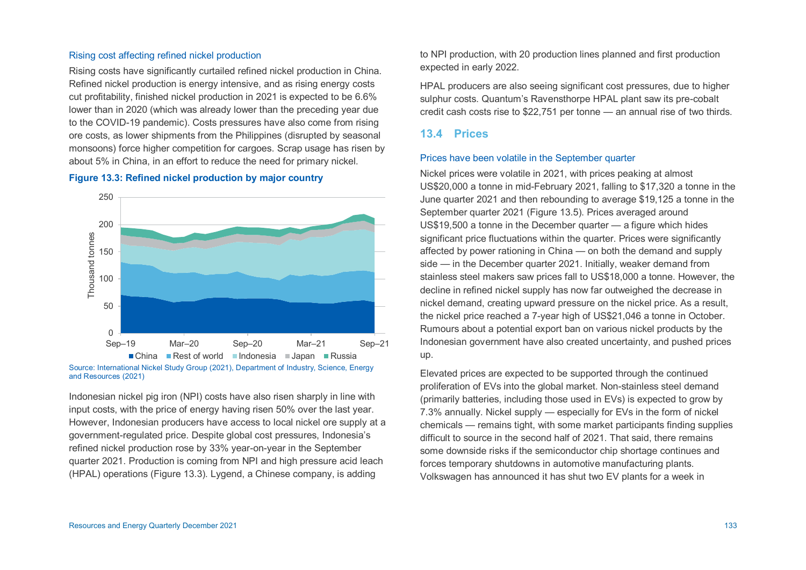#### Rising cost affecting refined nickel production

Rising costs have significantly curtailed refined nickel production in China. Refined nickel production is energy intensive, and as rising energy costs cut profitability, finished nickel production in 2021 is expected to be 6.6% lower than in 2020 (which was already lower than the preceding year due to the COVID-19 pandemic). Costs pressures have also come from rising ore costs, as lower shipments from the Philippines (disrupted by seasonal monsoons) force higher competition for cargoes. Scrap usage has risen by about 5% in China, in an effort to reduce the need for primary nickel.

## **Figure 13.3: Refined nickel production by major country**



and Resources (2021)

Indonesian nickel pig iron (NPI) costs have also risen sharply in line with input costs, with the price of energy having risen 50% over the last year. However, Indonesian producers have access to local nickel ore supply at a government-regulated price. Despite global cost pressures, Indonesia's refined nickel production rose by 33% year-on-year in the September quarter 2021. Production is coming from NPI and high pressure acid leach (HPAL) operations (Figure 13.3). Lygend, a Chinese company, is adding

to NPI production, with 20 production lines planned and first production expected in early 2022.

HPAL producers are also seeing significant cost pressures, due to higher sulphur costs. Quantum's Ravensthorpe HPAL plant saw its pre-cobalt credit cash costs rise to \$22,751 per tonne — an annual rise of two thirds.

## **13.4 Prices**

#### Prices have been volatile in the September quarter

Nickel prices were volatile in 2021, with prices peaking at almost US\$20,000 a tonne in mid-February 2021, falling to \$17,320 a tonne in the June quarter 2021 and then rebounding to average \$19,125 a tonne in the September quarter 2021 (Figure 13.5). Prices averaged around US\$19,500 a tonne in the December quarter — a figure which hides significant price fluctuations within the quarter. Prices were significantly affected by power rationing in China — on both the demand and supply side — in the December quarter 2021. Initially, weaker demand from stainless steel makers saw prices fall to US\$18,000 a tonne. However, the decline in refined nickel supply has now far outweighed the decrease in nickel demand, creating upward pressure on the nickel price. As a result, the nickel price reached a 7-year high of US\$21,046 a tonne in October. Rumours about a potential export ban on various nickel products by the Indonesian government have also created uncertainty, and pushed prices up.

Elevated prices are expected to be supported through the continued proliferation of EVs into the global market. Non-stainless steel demand (primarily batteries, including those used in EVs) is expected to grow by 7.3% annually. Nickel supply — especially for EVs in the form of nickel chemicals — remains tight, with some market participants finding supplies difficult to source in the second half of 2021. That said, there remains some downside risks if the semiconductor chip shortage continues and forces temporary shutdowns in automotive manufacturing plants. Volkswagen has announced it has shut two EV plants for a week in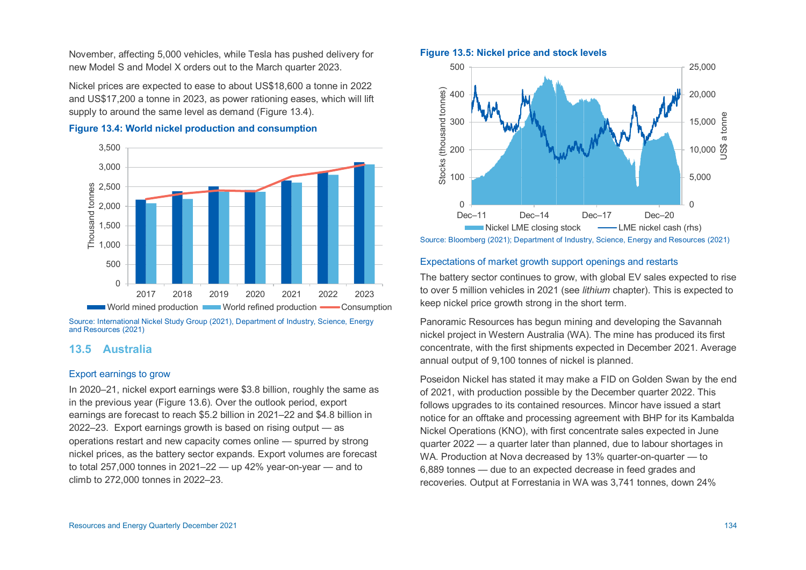November, affecting 5,000 vehicles, while Tesla has pushed delivery for new Model S and Model X orders out to the March quarter 2023.

Nickel prices are expected to ease to about US\$18,600 a tonne in 2022 and US\$17,200 a tonne in 2023, as power rationing eases, which will lift supply to around the same level as demand (Figure 13.4).





Source: International Nickel Study Group (2021), Department of Industry, Science, Energy and Resources (2021)

# <span id="page-5-0"></span>**13.5 Australia**

## Export earnings to grow

In 2020–21, nickel export earnings were \$3.8 billion, roughly the same as in the previous year (Figure 13.6). Over the outlook period, export earnings are forecast to reach \$5.2 billion in 2021–22 and \$4.8 billion in 2022–23. Export earnings growth is based on rising output — as operations restart and new capacity comes online — spurred by strong nickel prices, as the battery sector expands. Export volumes are forecast to total 257,000 tonnes in 2021–22 — up 42% year-on-year — and to climb to 272,000 tonnes in 2022–23.

## **Figure 13.5: Nickel price and stock levels**



## Expectations of market growth support openings and restarts

The battery sector continues to grow, with global EV sales expected to rise to over 5 million vehicles in 2021 (see *lithium* chapter). This is expected to keep nickel price growth strong in the short term.

Panoramic Resources has begun mining and developing the Savannah nickel project in Western Australia (WA). The mine has produced its first concentrate, with the first shipments expected in December 2021. Average annual output of 9,100 tonnes of nickel is planned.

Poseidon Nickel has stated it may make a FID on Golden Swan by the end of 2021, with production possible by the December quarter 2022. This follows upgrades to its contained resources. Mincor have issued a start notice for an offtake and processing agreement with BHP for its Kambalda Nickel Operations (KNO), with first concentrate sales expected in June quarter 2022 — a quarter later than planned, due to labour shortages in WA. Production at Nova decreased by 13% quarter-on-quarter — to 6,889 tonnes — due to an expected decrease in feed grades and recoveries. Output at Forrestania in WA was 3,741 tonnes, down 24%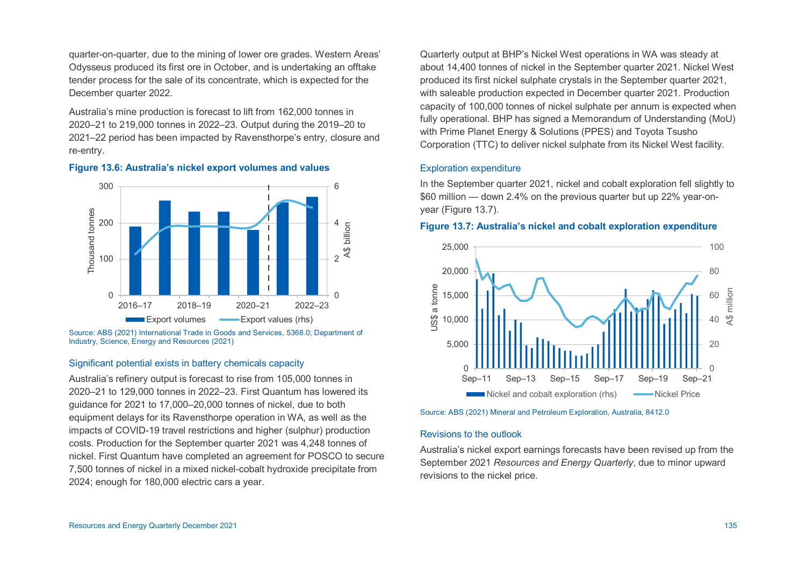quarter-on-quarter, due to the mining of lower ore grades. Western Areas' Odysseus produced its first ore in October, and is undertaking an offtake tender process for the sale of its concentrate, which is expected for the December quarter 2022.

Australia's mine production is forecast to lift from 162,000 tonnes in 2020–21 to 219,000 tonnes in 2022–23. Output during the 2019–20 to 2021–22 period has been impacted by Ravensthorpe's entry, closure and re-entry.





Source: ABS (2021) International Trade in Goods and Services, 5368.0; Department of Industry, Science, Energy and Resources (2021)

#### Significant potential exists in battery chemicals capacity

Australia's refinery output is forecast to rise from 105,000 tonnes in 2020–21 to 129,000 tonnes in 2022–23. First Quantum has lowered its guidance for 2021 to 17,000–20,000 tonnes of nickel, due to both equipment delays for its Ravensthorpe operation in WA, as well as the impacts of COVID-19 travel restrictions and higher (sulphur) production costs. Production for the September quarter 2021 was 4,248 tonnes of nickel. First Quantum have completed an agreement for POSCO to secure 7,500 tonnes of nickel in a mixed nickel-cobalt hydroxide precipitate from 2024; enough for 180,000 electric cars a year.

Quarterly output at BHP's Nickel West operations in WA was steady at about 14,400 tonnes of nickel in the September quarter 2021. Nickel West produced its first nickel sulphate crystals in the September quarter 2021, with saleable production expected in December quarter 2021. Production capacity of 100,000 tonnes of nickel sulphate per annum is expected when fully operational. BHP has signed a Memorandum of Understanding (MoU) with Prime Planet Energy & Solutions (PPES) and Toyota Tsusho Corporation (TTC) to deliver nickel sulphate from its Nickel West facility.

## Exploration expenditure

In the September quarter 2021, nickel and cobalt exploration fell slightly to \$60 million — down 2.4% on the previous quarter but up 22% year-onyear (Figure 13.7).

#### **Figure 13.7: Australia's nickel and cobalt exploration expenditure**



Source: ABS (2021) Mineral and Petroleum Exploration, Australia, 8412.0

#### Revisions to the outlook

Australia's nickel export earnings forecasts have been revised up from the September 2021 *Resources and Energy Quarterly*, due to minor upward revisions to the nickel price.